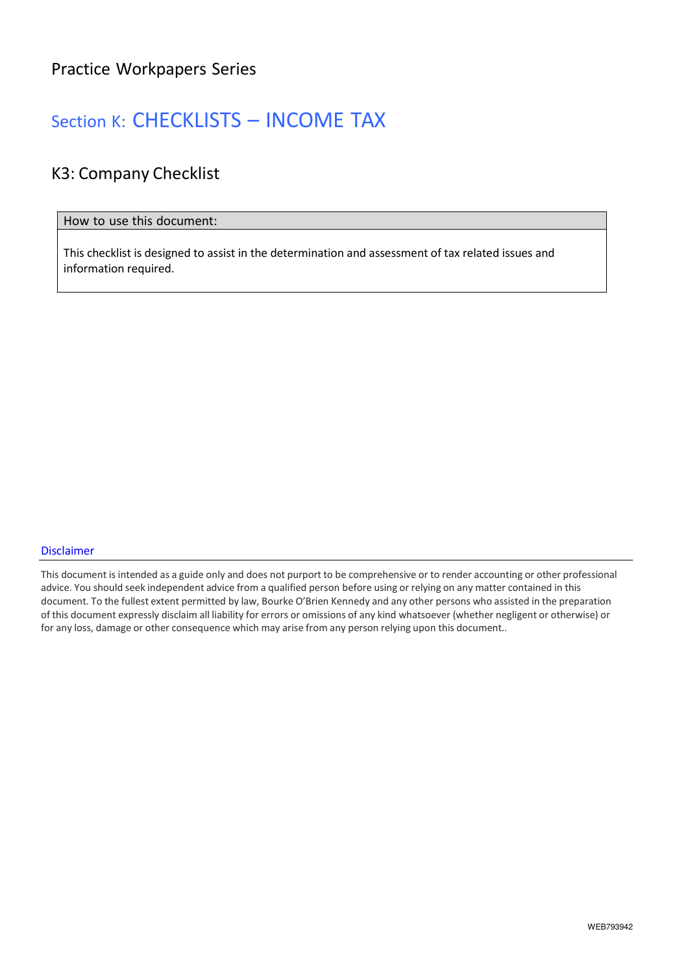### Section K: CHECKLISTS – INCOME TAX

### K3: Company Checklist

#### How to use this document:

This checklist is designed to assist in the determination and assessment of tax related issues and information required.

#### Disclaimer

This document is intended as a guide only and does not purport to be comprehensive or to render accounting or other professional advice. You should seek independent advice from a qualified person before using or relying on any matter contained in this document. To the fullest extent permitted by law, Bourke O'Brien Kennedy and any other persons who assisted in the preparation of this document expressly disclaim all liability for errors or omissions of any kind whatsoever (whether negligent or otherwise) or for any loss, damage or other consequence which may arise from any person relying upon this document..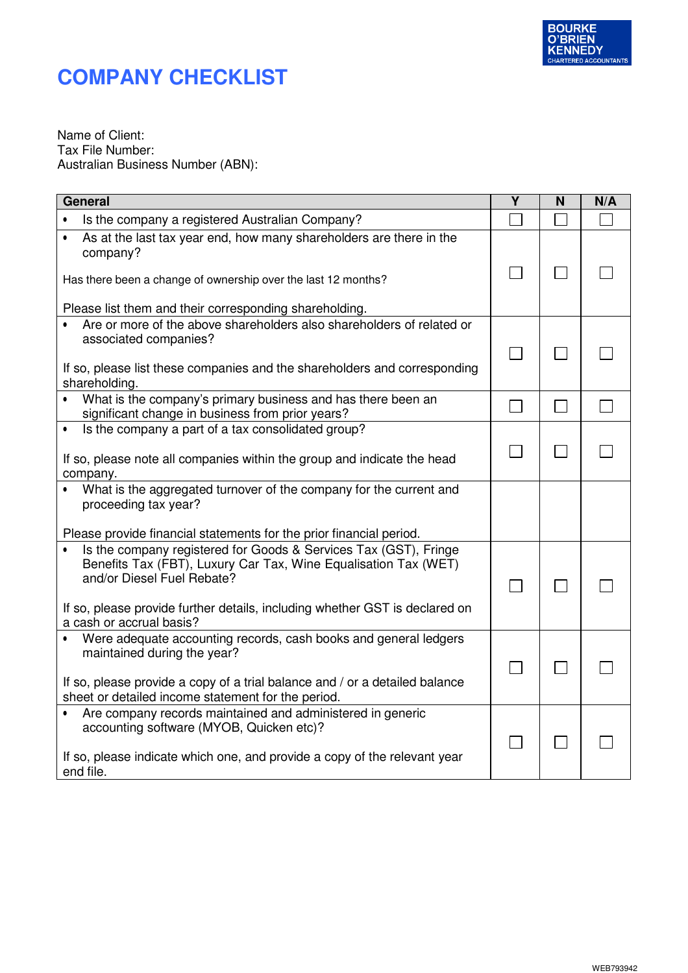

Name of Client: Tax File Number: Australian Business Number (ABN):

| General                                                                                                                                                           | Υ              | N | N/A |
|-------------------------------------------------------------------------------------------------------------------------------------------------------------------|----------------|---|-----|
| Is the company a registered Australian Company?                                                                                                                   |                |   |     |
| As at the last tax year end, how many shareholders are there in the<br>$\bullet$<br>company?                                                                      |                |   |     |
| Has there been a change of ownership over the last 12 months?                                                                                                     |                |   |     |
| Please list them and their corresponding shareholding.                                                                                                            |                |   |     |
| Are or more of the above shareholders also shareholders of related or<br>associated companies?                                                                    |                |   |     |
| If so, please list these companies and the shareholders and corresponding<br>shareholding.                                                                        |                |   |     |
| • What is the company's primary business and has there been an<br>significant change in business from prior years?                                                |                |   |     |
| Is the company a part of a tax consolidated group?<br>$\bullet$                                                                                                   |                |   |     |
| If so, please note all companies within the group and indicate the head<br>company.                                                                               | <b>College</b> |   |     |
| What is the aggregated turnover of the company for the current and<br>$\bullet$<br>proceeding tax year?                                                           |                |   |     |
| Please provide financial statements for the prior financial period.                                                                                               |                |   |     |
| Is the company registered for Goods & Services Tax (GST), Fringe<br>Benefits Tax (FBT), Luxury Car Tax, Wine Equalisation Tax (WET)<br>and/or Diesel Fuel Rebate? |                |   |     |
| If so, please provide further details, including whether GST is declared on<br>a cash or accrual basis?                                                           |                |   |     |
| Were adequate accounting records, cash books and general ledgers<br>$\bullet$<br>maintained during the year?                                                      |                |   |     |
| If so, please provide a copy of a trial balance and / or a detailed balance<br>sheet or detailed income statement for the period.                                 |                |   |     |
| Are company records maintained and administered in generic<br>accounting software (MYOB, Quicken etc)?                                                            |                |   |     |
| If so, please indicate which one, and provide a copy of the relevant year<br>end file.                                                                            |                |   |     |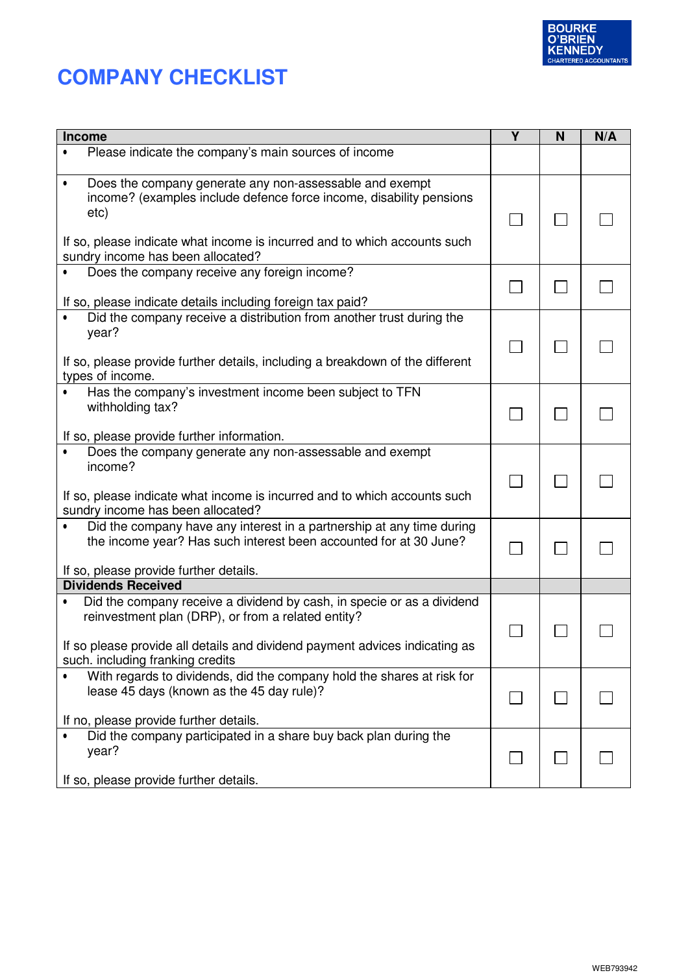

| Income                                                                                                                                                                                                                                                                | Y | N | N/A |
|-----------------------------------------------------------------------------------------------------------------------------------------------------------------------------------------------------------------------------------------------------------------------|---|---|-----|
| Please indicate the company's main sources of income                                                                                                                                                                                                                  |   |   |     |
| Does the company generate any non-assessable and exempt<br>$\bullet$<br>income? (examples include defence force income, disability pensions<br>etc)<br>If so, please indicate what income is incurred and to which accounts such<br>sundry income has been allocated? |   |   |     |
| Does the company receive any foreign income?<br>If so, please indicate details including foreign tax paid?                                                                                                                                                            |   |   |     |
| Did the company receive a distribution from another trust during the<br>year?<br>If so, please provide further details, including a breakdown of the different<br>types of income.                                                                                    |   |   |     |
| Has the company's investment income been subject to TFN<br>$\bullet$<br>withholding tax?<br>If so, please provide further information.                                                                                                                                |   |   |     |
| Does the company generate any non-assessable and exempt<br>$\bullet$<br>income?<br>If so, please indicate what income is incurred and to which accounts such<br>sundry income has been allocated?                                                                     |   |   |     |
| Did the company have any interest in a partnership at any time during<br>the income year? Has such interest been accounted for at 30 June?<br>If so, please provide further details.                                                                                  |   |   |     |
| <b>Dividends Received</b>                                                                                                                                                                                                                                             |   |   |     |
| Did the company receive a dividend by cash, in specie or as a dividend<br>$\bullet$<br>reinvestment plan (DRP), or from a related entity?<br>If so please provide all details and dividend payment advices indicating as<br>such. including franking credits          |   |   |     |
| With regards to dividends, did the company hold the shares at risk for<br>lease 45 days (known as the 45 day rule)?<br>If no, please provide further details.                                                                                                         |   |   |     |
| Did the company participated in a share buy back plan during the<br>$\bullet$<br>year?<br>If so, please provide further details.                                                                                                                                      |   |   |     |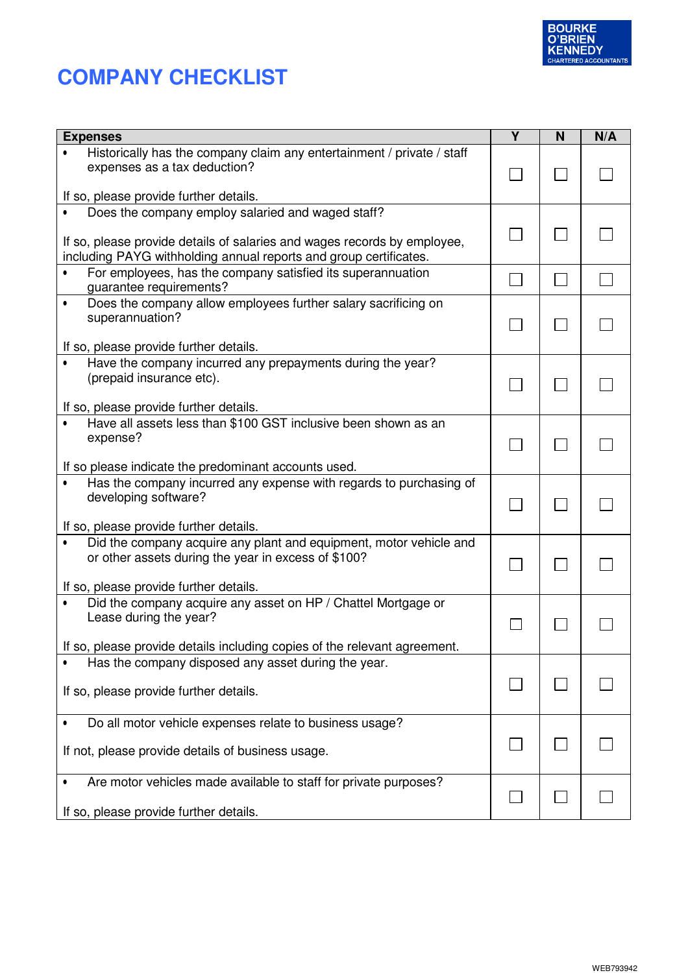

| <b>Expenses</b>                                                                                                                                                                                    | Y | N | N/A |
|----------------------------------------------------------------------------------------------------------------------------------------------------------------------------------------------------|---|---|-----|
| Historically has the company claim any entertainment / private / staff<br>expenses as a tax deduction?                                                                                             |   |   |     |
| If so, please provide further details.                                                                                                                                                             |   |   |     |
| Does the company employ salaried and waged staff?<br>If so, please provide details of salaries and wages records by employee,<br>including PAYG withholding annual reports and group certificates. |   |   |     |
| For employees, has the company satisfied its superannuation<br>guarantee requirements?                                                                                                             |   |   |     |
| Does the company allow employees further salary sacrificing on<br>$\bullet$<br>superannuation?                                                                                                     |   |   |     |
| If so, please provide further details.                                                                                                                                                             |   |   |     |
| Have the company incurred any prepayments during the year?<br>(prepaid insurance etc).                                                                                                             |   |   |     |
| If so, please provide further details.                                                                                                                                                             |   |   |     |
| Have all assets less than \$100 GST inclusive been shown as an<br>expense?                                                                                                                         |   |   |     |
| If so please indicate the predominant accounts used.                                                                                                                                               |   |   |     |
| Has the company incurred any expense with regards to purchasing of<br>developing software?                                                                                                         |   |   |     |
| If so, please provide further details.                                                                                                                                                             |   |   |     |
| Did the company acquire any plant and equipment, motor vehicle and<br>or other assets during the year in excess of \$100?                                                                          |   |   |     |
| If so, please provide further details.                                                                                                                                                             |   |   |     |
| Did the company acquire any asset on HP / Chattel Mortgage or<br>Lease during the year?                                                                                                            |   |   |     |
| If so, please provide details including copies of the relevant agreement.                                                                                                                          |   |   |     |
| Has the company disposed any asset during the year.                                                                                                                                                |   |   |     |
| If so, please provide further details.                                                                                                                                                             |   |   |     |
| Do all motor vehicle expenses relate to business usage?                                                                                                                                            |   |   |     |
| If not, please provide details of business usage.                                                                                                                                                  |   |   |     |
| Are motor vehicles made available to staff for private purposes?                                                                                                                                   |   |   |     |
| If so, please provide further details.                                                                                                                                                             |   |   |     |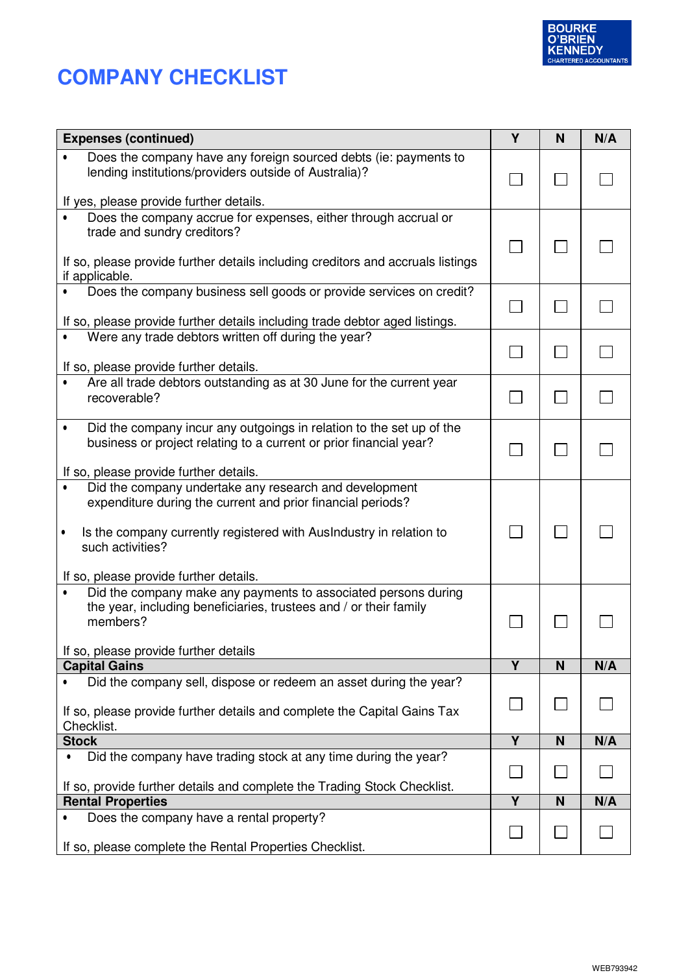

| <b>Expenses (continued)</b>                                                                                                                                                                                                                                | Y              | N | N/A |
|------------------------------------------------------------------------------------------------------------------------------------------------------------------------------------------------------------------------------------------------------------|----------------|---|-----|
| Does the company have any foreign sourced debts (ie: payments to<br>lending institutions/providers outside of Australia)?                                                                                                                                  |                |   |     |
| If yes, please provide further details.                                                                                                                                                                                                                    |                |   |     |
| Does the company accrue for expenses, either through accrual or<br>$\bullet$<br>trade and sundry creditors?<br>If so, please provide further details including creditors and accruals listings<br>if applicable.                                           |                |   |     |
| Does the company business sell goods or provide services on credit?                                                                                                                                                                                        |                |   |     |
| If so, please provide further details including trade debtor aged listings.                                                                                                                                                                                |                |   |     |
| Were any trade debtors written off during the year?<br>If so, please provide further details.                                                                                                                                                              |                |   |     |
| Are all trade debtors outstanding as at 30 June for the current year                                                                                                                                                                                       |                |   |     |
| recoverable?                                                                                                                                                                                                                                               |                |   |     |
| Did the company incur any outgoings in relation to the set up of the<br>business or project relating to a current or prior financial year?<br>If so, please provide further details.                                                                       |                |   |     |
| Did the company undertake any research and development<br>expenditure during the current and prior financial periods?<br>Is the company currently registered with Auslndustry in relation to<br>such activities?<br>If so, please provide further details. |                |   |     |
| Did the company make any payments to associated persons during<br>$\bullet$<br>the year, including beneficiaries, trustees and / or their family<br>members?<br>If so, please provide further details                                                      |                |   |     |
| <b>Capital Gains</b>                                                                                                                                                                                                                                       | Y              | N | N/A |
| Did the company sell, dispose or redeem an asset during the year?<br>If so, please provide further details and complete the Capital Gains Tax<br>Checklist.                                                                                                |                |   |     |
| <b>Stock</b>                                                                                                                                                                                                                                               | $\overline{Y}$ | N | N/A |
| Did the company have trading stock at any time during the year?<br>$\bullet$                                                                                                                                                                               |                |   |     |
| If so, provide further details and complete the Trading Stock Checklist.<br><b>Rental Properties</b>                                                                                                                                                       | $\overline{Y}$ | N | N/A |
| Does the company have a rental property?                                                                                                                                                                                                                   |                |   |     |
| If so, please complete the Rental Properties Checklist.                                                                                                                                                                                                    |                |   |     |